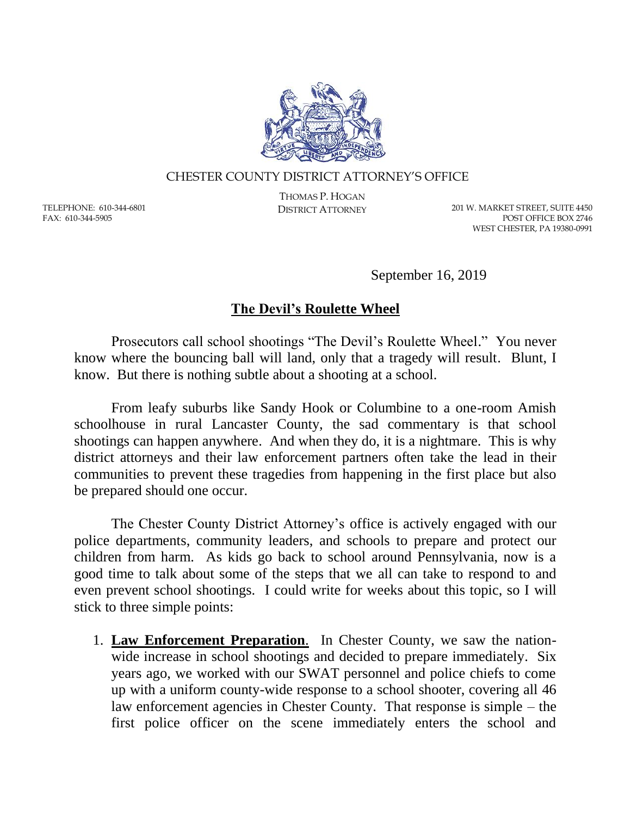

## CHESTER COUNTY DISTRICT ATTORNEY'S OFFICE

TELEPHONE: 610-344-6801 FAX: 610-344-5905

THOMAS P. HOGAN

DISTRICT ATTORNEY 201 W. MARKET STREET, SUITE 4450 POST OFFICE BOX 2746 WEST CHESTER, PA 19380-0991

September 16, 2019

## **The Devil's Roulette Wheel**

Prosecutors call school shootings "The Devil's Roulette Wheel." You never know where the bouncing ball will land, only that a tragedy will result. Blunt, I know. But there is nothing subtle about a shooting at a school.

From leafy suburbs like Sandy Hook or Columbine to a one-room Amish schoolhouse in rural Lancaster County, the sad commentary is that school shootings can happen anywhere. And when they do, it is a nightmare. This is why district attorneys and their law enforcement partners often take the lead in their communities to prevent these tragedies from happening in the first place but also be prepared should one occur.

The Chester County District Attorney's office is actively engaged with our police departments, community leaders, and schools to prepare and protect our children from harm. As kids go back to school around Pennsylvania, now is a good time to talk about some of the steps that we all can take to respond to and even prevent school shootings. I could write for weeks about this topic, so I will stick to three simple points:

1. **Law Enforcement Preparation**. In Chester County, we saw the nationwide increase in school shootings and decided to prepare immediately. Six years ago, we worked with our SWAT personnel and police chiefs to come up with a uniform county-wide response to a school shooter, covering all 46 law enforcement agencies in Chester County. That response is simple – the first police officer on the scene immediately enters the school and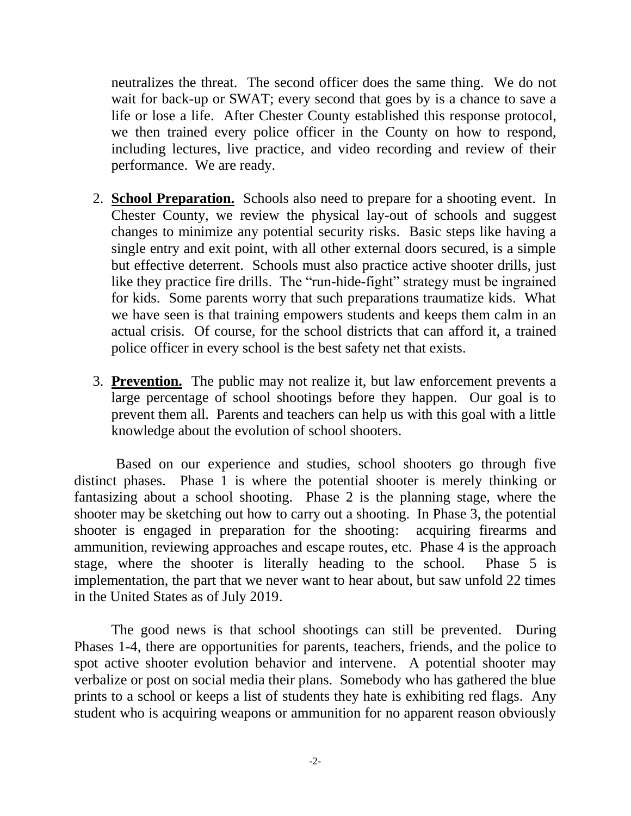neutralizes the threat. The second officer does the same thing. We do not wait for back-up or SWAT; every second that goes by is a chance to save a life or lose a life. After Chester County established this response protocol, we then trained every police officer in the County on how to respond, including lectures, live practice, and video recording and review of their performance. We are ready.

- 2. **School Preparation.** Schools also need to prepare for a shooting event. In Chester County, we review the physical lay-out of schools and suggest changes to minimize any potential security risks. Basic steps like having a single entry and exit point, with all other external doors secured, is a simple but effective deterrent. Schools must also practice active shooter drills, just like they practice fire drills. The "run-hide-fight" strategy must be ingrained for kids. Some parents worry that such preparations traumatize kids. What we have seen is that training empowers students and keeps them calm in an actual crisis. Of course, for the school districts that can afford it, a trained police officer in every school is the best safety net that exists.
- 3. **Prevention.** The public may not realize it, but law enforcement prevents a large percentage of school shootings before they happen. Our goal is to prevent them all. Parents and teachers can help us with this goal with a little knowledge about the evolution of school shooters.

Based on our experience and studies, school shooters go through five distinct phases. Phase 1 is where the potential shooter is merely thinking or fantasizing about a school shooting. Phase 2 is the planning stage, where the shooter may be sketching out how to carry out a shooting. In Phase 3, the potential shooter is engaged in preparation for the shooting: acquiring firearms and ammunition, reviewing approaches and escape routes, etc. Phase 4 is the approach stage, where the shooter is literally heading to the school. Phase 5 is implementation, the part that we never want to hear about, but saw unfold 22 times in the United States as of July 2019.

The good news is that school shootings can still be prevented. During Phases 1-4, there are opportunities for parents, teachers, friends, and the police to spot active shooter evolution behavior and intervene. A potential shooter may verbalize or post on social media their plans. Somebody who has gathered the blue prints to a school or keeps a list of students they hate is exhibiting red flags. Any student who is acquiring weapons or ammunition for no apparent reason obviously